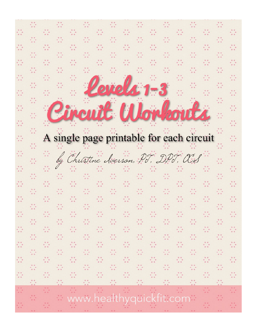# cuit Workor A single page printable for each circuit

萘

 $\ddot{\cdot}$ 

萘

 $\frac{1}{2}$ 

 $\frac{1}{2}$ 

 $\frac{1}{2} \frac{d}{dt}$ 

 $\frac{1}{2}$ 

 $\frac{1}{2}$ 

45

 $\frac{1}{2}$ 

萘

 $\frac{1}{2}$ 

 $\frac{1}{2}$ 

萘

 $\frac{1}{2}$ 

 $\frac{1}{2}$ 

萘

4

 $\frac{\partial f}{\partial x}$ 

÷

÷

 $\frac{1}{2}$ 

萘

ŵ

萘

 $\frac{2}{\sqrt{2}}$ 

 $\frac{1}{2}$ 

萘

萘

÷

Ą,

 $\frac{1}{2}$ 

萘

ŵ

 $\frac{1}{2}\frac{1}{\sqrt{2}}$ 

 $\frac{1}{2}$ 

4

蒜

 $\frac{1}{2}$  ,

 $\frac{1}{2}$ 

萘

 $\frac{1}{2} \frac{y}{y}$ 

45

 $\frac{1}{2}$ 

÷,

÷.

÷,

÷,

萘

萘

÷,

 $\mathbb{C}^*_{\mathbb{C}}$ 

 $\mathcal{L}_{\mathcal{A}}^{\mathcal{A}}$ 

 $\mathbb{Z}_2^{\times}$ 

 $\frac{1}{2}\frac{1}{2}$ 

 $\mathcal{L}^{\ast}_{\mathcal{L}}$ 

 $\mathbb{S}^*$ 

Ò,

 $\mathbb{Z}_2^{\times}$ 

 $\mathbb{S}^2$ 

 $\mathbb{C}^*_{\mathbb{C}}$ 

 $\frac{1}{2} \frac{y}{y}$ 

 $\frac{1}{2} \frac{1}{2}$ 

 $\mathbb{Z}_2^{\times}$ 

Ò,

 $\mathbb{C}^*_{\mathbb{Z}}$ 

 $\frac{1}{\sqrt{2}}$ 

 $\mathbb{C}^*_{\mathbb{R}}$ 

Q.

ç,

萘

÷,

÷.

 $\frac{1}{2}$  ,

 $\frac{1}{2}$ 

 $\frac{1}{2}$ 

÷,

 $\frac{1}{2}$ 

 $\frac{1}{2} \frac{1}{2}$ 

 $\frac{1}{2}$  ,

 $\frac{1}{2}$ 

 $\frac{1}{2} \frac{y}{y}$ 

 $\frac{1}{2}$ 

 $\frac{1}{2} \frac{1}{4}$ 

萘

 $\frac{1}{2} \frac{d}{dt}$ 

 $\mathbb{Z}^*$ 

÷,

ŵ

 $\frac{1}{2}$ 

ċ,

 $\frac{1}{2}$ 

 $\frac{1}{2}\frac{y}{y}$ 

 $\mathcal{C}^{\prime}_{\mathcal{C}}$ 

ă

ŵ

÷,

萘

÷

 $\frac{1}{2}$ 

÷,

 $\frac{1}{2}\frac{d}{2}$ 

 $\frac{1}{2}$ 

¢,

÷,

 $\frac{1}{2}$ 

萘

÷,

 $\frac{1}{2} \frac{d}{dt}$ 

 $\frac{\partial}{\partial x}$ 

 $s$ relet  $1-3$ 

÷,

÷,

 $\frac{1}{2} \frac{1}{4}$ 

萘

÷

 $\frac{1}{2}$ 

 $\frac{1}{2}$ 

÷.

÷,

 $\frac{1}{2}$ 

12

蒜

ŵ

÷,

Ŵ

4

萘

÷,

÷

 $\frac{1}{2}$ 

 $\frac{1}{2}$ 

 $\frac{1}{2}$ 

 $\frac{1}{2}$ 

÷,

4

 $\frac{1}{2}$ 

4

÷,

 $\frac{\partial f}{\partial x}$ 

Ò,

45

 $\frac{\partial \mathcal{L}}{\partial \mathcal{L}}$ 

45

Christine Accesson, PT, DF  $\frac{d}{dt}$ Ŵ  $7 \alpha$ ÷.  $\frac{3}{2} \frac{2}{3}$  $\frac{2}{\sqrt{3}}$  $\frac{3}{2}$ 

÷,

 $\frac{1}{2}$ 

萘

 $\frac{1}{2}$ 

÷,

÷,

萘

萘

92

÷,

ŵ

÷,

Ŵ

¢,

÷,

÷,

 $\frac{1}{2}$ 

 $\frac{1}{2}$ 

 $\frac{1}{2}$ 

 $\frac{1}{2} \frac{1}{3}$ 

 $\frac{1}{2}$ 

 $\frac{\partial \mathcal{L}}{\partial \mathcal{L}}$ 

萘

 $\frac{1}{2}$ 

ŵ ŵ www.healthyquickfit.com

萘 Ŵ ŵ  $\frac{1}{2}$ ¢,  $\frac{1}{2} \frac{d}{dt}$ 

 $\frac{1}{2}$ 

÷,

 $\frac{1}{2}$ 

÷.

÷,

 $\frac{1}{2}$  ,

÷,

÷,

 $\frac{1}{2}$ 

÷,

÷,

÷,

÷.

蒜

Ò.

萘

ŵ

45

 $\frac{1}{2}$ 

 $\frac{1}{2} \frac{1}{2}$ 

÷,

÷,

¢,

蒜

÷.

 $\frac{1}{2}$ 

÷,

 $\frac{1}{2}$ 

 $\frac{1}{2}$ 

 $\frac{1}{2}$ 

 $\frac{1}{2}$ 

 $\frac{1}{2}$ 

÷,

 $\frac{1}{2}$ 

 $\frac{1}{2}$ 

 $\frac{1}{2}$ 

萘

 $\frac{1}{2}$ 

 $\frac{1}{2}$ 

 $\frac{1}{2}$ 

 $\frac{1}{2}$ 

4

ŵ

萘

蒜

 $\mathbb{S}^{\mathbb{Z}}_{\mathbb{Z}}$ 

 $\frac{1}{2}$ 

÷,

Ò,

蒜

萘

萘

÷,

÷,

Ò,

 $\frac{1}{2}$ 

蒜

4

ŵ

÷,

 $\frac{1}{2} \frac{1}{2}$ 

蒜

Ò,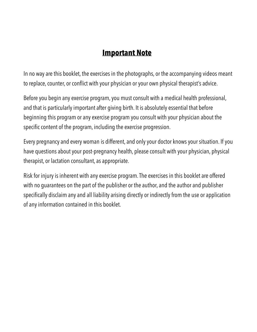## **Important Note**

In no way are this booklet, the exercises in the photographs, or the accompanying videos meant to replace, counter, or conflict with your physician or your own physical therapist's advice.

Before you begin any exercise program, you must consult with a medical health professional, and that is particularly important after giving birth. It is absolutely essential that before beginning this program or any exercise program you consult with your physician about the specific content of the program, including the exercise progression.

Every pregnancy and every woman is different, and only your doctor knows your situation. If you have questions about your post-pregnancy health, please consult with your physician, physical therapist, or lactation consultant, as appropriate.

Risk for injury is inherent with any exercise program. The exercises in this booklet are offered with no guarantees on the part of the publisher or the author, and the author and publisher specifically disclaim any and all liability arising directly or indirectly from the use or application of any information contained in this booklet.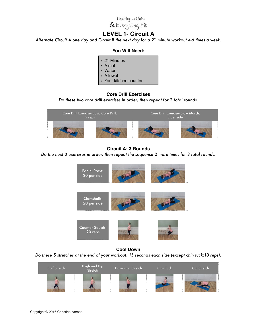

## **LEVEL 1- Circuit A**

*Alternate Circuit A one day and Circuit B the next day for a 21 minute workout 4-6 times a week.*

## **You Will Need:**

- 21 Minutes
- A mat
- Water
- A towel
- Your kitchen counter

## **Core Drill Exercises**

*Do these two core drill exercises in order, then repeat for 2 total rounds.* 



## **Circuit A: 3 Rounds**

*Do the next 3 exercises in order, then repeat the sequence 2 more times for 3 total rounds.*



## **Cool Down**

*Do these 5 stretches at the end of your workout: 15 seconds each side (except chin tuck:10 reps).*

| Calf Stretch | Thigh and Hip<br>Stretch | Hamstring Stretch | Chin Tuck | Cat Stretch |
|--------------|--------------------------|-------------------|-----------|-------------|
| .            |                          |                   |           |             |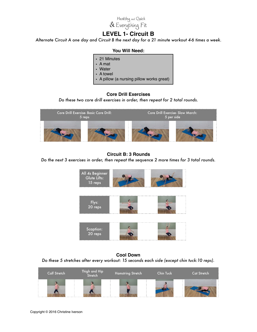Healthy and Quick<br>& Everything Fit

## **LEVEL 1- Circuit B**

*Alternate Circuit A one day and Circuit B the next day for a 21 minute workout 4-6 times a week.*

#### **You Will Need:**

- 21 Minutes
- A mat
- Water
- A towel
- A pillow (a nursing pillow works great)

## **Core Drill Exercises**

*Do these two core drill exercises in order, then repeat for 2 total rounds.* 



## **Circuit B: 3 Rounds**

#### *Do the next 3 exercises in order, then repeat the sequence 2 more times for 3 total rounds.*



**Cool Down** *Do these 5 stretches after every workout: 15 seconds each side (except chin tuck:10 reps).*

| <b>Calf Stretch</b> | Thigh and Hip<br>Stretch | Hamstring Stretch | Chin Tuck | Cat Stretch |
|---------------------|--------------------------|-------------------|-----------|-------------|
|                     |                          |                   |           |             |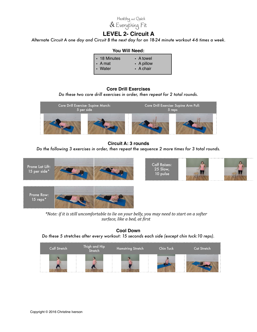

## **LEVEL 2- Circuit A**

*Alternate Circuit A one day and Circuit B the next day for an 18-24 minute workout 4-6 times a week.*

#### **You Will Need:**

| • 18 Minutes  | • A towel        |
|---------------|------------------|
| $\cdot$ A mat | $\cdot$ A pillow |
| . Water       | $\cdot$ A chair  |

## **Core Drill Exercises**

*Do these two core drill exercises in order, then repeat for 2 total rounds.* 



## **Circuit A: 3 rounds** *Do the following 3 exercises in order, then repeat the sequence 2 more times for 3 total rounds.*

 $\Omega$ 



\*Note: if it is still uncomfortable to lie on your belly, you may need to start on a softer *surface, like a bed, at first* 

**Cool Down** *Do these 5 stretches after every workout: 15 seconds each side (except chin tuck:10 reps).*

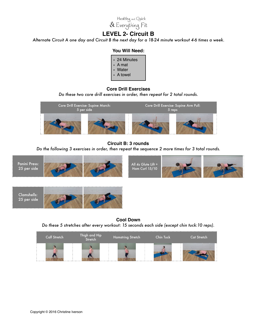

## **LEVEL 2- Circuit B**

*Alternate Circuit A one day and Circuit B the next day for a 18-24 minute workout 4-6 times a week.*

## **You Will Need:**

• 24 Minutes • A mat • Water • A towel

## **Core Drill Exercises**

*Do these two core drill exercises in order, then repeat for 2 total rounds.* 



## **Circuit B: 3 rounds**

*Do the following 3 exercises in order, then repeat the sequence 2 more times for 3 total rounds.* 



Clamshells: 25 per side



**Cool Down** *Do these 5 stretches after every workout: 15 seconds each side (except chin tuck:10 reps).*

| Calf Stretch | Thigh and Hip<br>Stretch | Hamstring Stretch | <b>Chin Tuck</b> | <b>Cat Stretch</b> |
|--------------|--------------------------|-------------------|------------------|--------------------|
|              |                          |                   |                  |                    |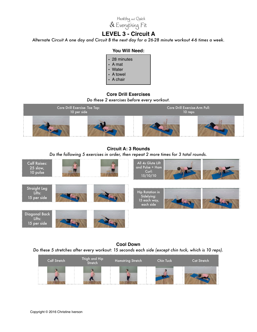

## **LEVEL 3 - Circuit A**

*Alternate Circuit A one day and Circuit B the next day for a 26-28 minute workout 4-6 times a week.* 

## **You Will Need:**

- 28 minutes
- A mat
- Water
- A towel
- A chair

## **Core Drill Exercises**

*Do these 2 exercises before every workout.* 



**Circuit A: 3 Rounds** *Do the following 5 exercises in order, then repeat 2 more times for 3 total rounds.* 



**Cool Down** *Do these 5 stretches after every workout: 15 seconds each side (except chin tuck, which is 10 reps).*

| Calf Stretch | Thigh and Hip<br>Stretch | Hamstring Stretch | Chin Tuck | <b>Cat Stretch</b> |
|--------------|--------------------------|-------------------|-----------|--------------------|
|              |                          |                   |           |                    |